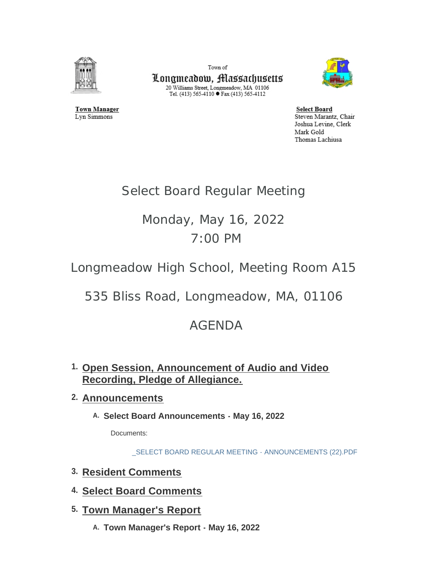

**Town Manager** 

Lyn Simmons

Town of Longmeadow, Massachusetts  $\begin{array}{c} \text{20 Williams Street, Longmeadow, MA$ 01106}\\ \text{Tel. (413) 565-4110}\bullet \text{Fax (413) 565-4112} \end{array}$ 



**Select Board** Steven Marantz, Chair Joshua Levine, Clerk Mark Gold Thomas Lachiusa

# Select Board Regular Meeting

# Monday, May 16, 2022 7:00 PM

Longmeadow High School, Meeting Room A15

535 Bliss Road, Longmeadow, MA, 01106

# AGENDA

**Open Session, Announcement of Audio and Video 1. Recording, Pledge of Allegiance.** 

# **Announcements 2.**

**Select Board Announcements - May 16, 2022 A.**

Documents:

[\\_SELECT BOARD REGULAR MEETING - ANNOUNCEMENTS \(22\).PDF](https://www.longmeadow.org/AgendaCenter/ViewFile/Item/2327?fileID=22792)

- **Resident Comments 3.**
- **Select Board Comments 4.**
- **Town Manager's Report 5.**
	- **Town Manager's Report May 16, 2022 A.**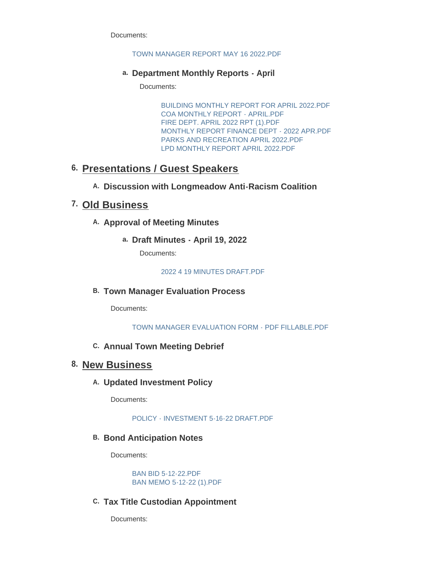Documents:

#### [TOWN MANAGER REPORT MAY 16 2022.PDF](https://www.longmeadow.org/AgendaCenter/ViewFile/Item/2332?fileID=22813)

## **Department Monthly Reports - April a.**

Documents:

[BUILDING MONTHLY REPORT FOR APRIL 2022.PDF](https://www.longmeadow.org/AgendaCenter/ViewFile/Item/2321?fileID=22798) [COA MONTHLY REPORT - APRIL.PDF](https://www.longmeadow.org/AgendaCenter/ViewFile/Item/2321?fileID=22799) [FIRE DEPT. APRIL 2022 RPT \(1\).PDF](https://www.longmeadow.org/AgendaCenter/ViewFile/Item/2321?fileID=22800) [MONTHLY REPORT FINANCE DEPT - 2022 APR.PDF](https://www.longmeadow.org/AgendaCenter/ViewFile/Item/2321?fileID=22801) [PARKS AND RECREATION APRIL 2022.PDF](https://www.longmeadow.org/AgendaCenter/ViewFile/Item/2321?fileID=22802) [LPD MONTHLY REPORT APRIL 2022.PDF](https://www.longmeadow.org/AgendaCenter/ViewFile/Item/2321?fileID=22809)

# **Presentations / Guest Speakers 6.**

# **Discussion with Longmeadow Anti-Racism Coalition A.**

# **Old Business 7.**

# A. Approval of Meeting Minutes

**Draft Minutes - April 19, 2022 a.**

Documents:

#### [2022 4 19 MINUTES DRAFT.PDF](https://www.longmeadow.org/AgendaCenter/ViewFile/Item/2333?fileID=22803)

# **Town Manager Evaluation Process B.**

Documents:

#### [TOWN MANAGER EVALUATION FORM - PDF FILLABLE.PDF](https://www.longmeadow.org/AgendaCenter/ViewFile/Item/2315?fileID=22745)

## **Annual Town Meeting Debrief C.**

# **New Business 8.**

## **Updated Investment Policy A.**

Documents:

#### [POLICY - INVESTMENT 5-16-22 DRAFT.PDF](https://www.longmeadow.org/AgendaCenter/ViewFile/Item/2316?fileID=22739)

# **B. Bond Anticipation Notes**

Documents:

[BAN BID 5-12-22.PDF](https://www.longmeadow.org/AgendaCenter/ViewFile/Item/2326?fileID=22796) [BAN MEMO 5-12-22 \(1\).PDF](https://www.longmeadow.org/AgendaCenter/ViewFile/Item/2326?fileID=22797)

# **Tax Title Custodian Appointment C.**

Documents: